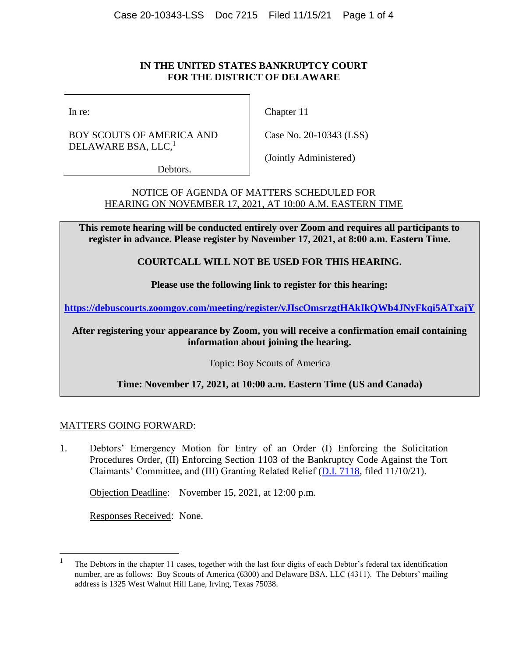### **IN THE UNITED STATES BANKRUPTCY COURT FOR THE DISTRICT OF DELAWARE**

In re:

BOY SCOUTS OF AMERICA AND DELAWARE BSA, LLC,<sup>1</sup>

Chapter 11

Case No. 20-10343 (LSS)

Debtors.

(Jointly Administered)

NOTICE OF AGENDA OF MATTERS SCHEDULED FOR HEARING ON NOVEMBER 17, 2021, AT 10:00 A.M. EASTERN TIME

**This remote hearing will be conducted entirely over Zoom and requires all participants to register in advance. Please register by November 17, 2021, at 8:00 a.m. Eastern Time.**

**COURTCALL WILL NOT BE USED FOR THIS HEARING.**

**Please use the following link to register for this hearing:**

**<https://debuscourts.zoomgov.com/meeting/register/vJIscOmsrzgtHAkIkQWb4JNyFkqi5ATxajY>**

**After registering your appearance by Zoom, you will receive a confirmation email containing information about joining the hearing.**

Topic: Boy Scouts of America

# **Time: November 17, 2021, at 10:00 a.m. Eastern Time (US and Canada)**

# MATTERS GOING FORWARD:

1. Debtors' Emergency Motion for Entry of an Order (I) Enforcing the Solicitation Procedures Order, (II) Enforcing Section 1103 of the Bankruptcy Code Against the Tort Claimants' Committee, and (III) Granting Related Relief [\(D.I. 7118,](https://ecf.deb.uscourts.gov/doc1/042020123398) filed 11/10/21).

Objection Deadline: November 15, 2021, at 12:00 p.m.

Responses Received: None.

<sup>1</sup> The Debtors in the chapter 11 cases, together with the last four digits of each Debtor's federal tax identification number, are as follows: Boy Scouts of America (6300) and Delaware BSA, LLC (4311). The Debtors' mailing address is 1325 West Walnut Hill Lane, Irving, Texas 75038.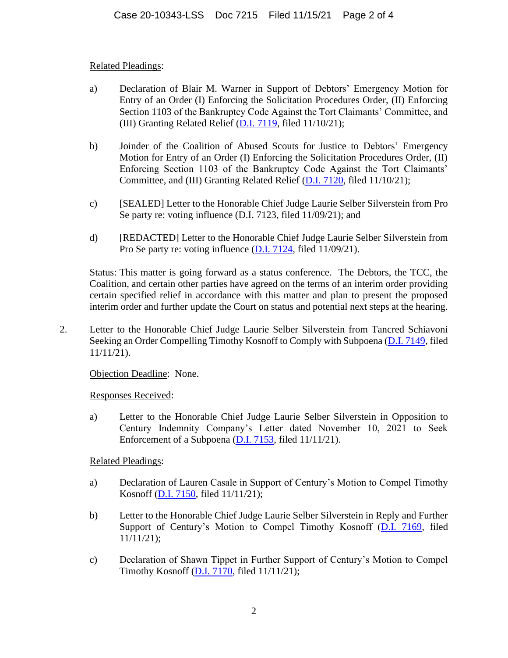# Related Pleadings:

- a) Declaration of Blair M. Warner in Support of Debtors' Emergency Motion for Entry of an Order (I) Enforcing the Solicitation Procedures Order, (II) Enforcing Section 1103 of the Bankruptcy Code Against the Tort Claimants' Committee, and (III) Granting Related Relief [\(D.I. 7119,](https://ecf.deb.uscourts.gov/doc1/042020123403) filed 11/10/21);
- b) Joinder of the Coalition of Abused Scouts for Justice to Debtors' Emergency Motion for Entry of an Order (I) Enforcing the Solicitation Procedures Order, (II) Enforcing Section 1103 of the Bankruptcy Code Against the Tort Claimants' Committee, and (III) Granting Related Relief [\(D.I. 7120,](https://ecf.deb.uscourts.gov/doc1/042020123432) filed 11/10/21);
- c) [SEALED] Letter to the Honorable Chief Judge Laurie Selber Silverstein from Pro Se party re: voting influence (D.I. 7123, filed 11/09/21); and
- d) [REDACTED] Letter to the Honorable Chief Judge Laurie Selber Silverstein from Pro Se party re: voting influence [\(D.I. 7124,](https://ecf.deb.uscourts.gov/doc1/042020123483) filed 11/09/21).

Status: This matter is going forward as a status conference. The Debtors, the TCC, the Coalition, and certain other parties have agreed on the terms of an interim order providing certain specified relief in accordance with this matter and plan to present the proposed interim order and further update the Court on status and potential next steps at the hearing.

2. Letter to the Honorable Chief Judge Laurie Selber Silverstein from Tancred Schiavoni Seeking an Order Compelling Timothy Kosnoff to Comply with Subpoena [\(D.I. 7149,](https://ecf.deb.uscourts.gov/doc1/042020125675) filed 11/11/21).

Objection Deadline: None.

Responses Received:

a) Letter to the Honorable Chief Judge Laurie Selber Silverstein in Opposition to Century Indemnity Company's Letter dated November 10, 2021 to Seek Enforcement of a Subpoena [\(D.I. 7153,](https://ecf.deb.uscourts.gov/doc1/042020126486) filed 11/11/21).

Related Pleadings:

- a) Declaration of Lauren Casale in Support of Century's Motion to Compel Timothy Kosnoff [\(D.I. 7150,](https://ecf.deb.uscourts.gov/doc1/042020125678) filed 11/11/21);
- b) Letter to the Honorable Chief Judge Laurie Selber Silverstein in Reply and Further Support of Century's Motion to Compel Timothy Kosnoff [\(D.I. 7169,](https://ecf.deb.uscourts.gov/doc1/042020126809) filed 11/11/21);
- c) Declaration of Shawn Tippet in Further Support of Century's Motion to Compel Timothy Kosnoff [\(D.I. 7170,](https://ecf.deb.uscourts.gov/doc1/042020126813) filed 11/11/21);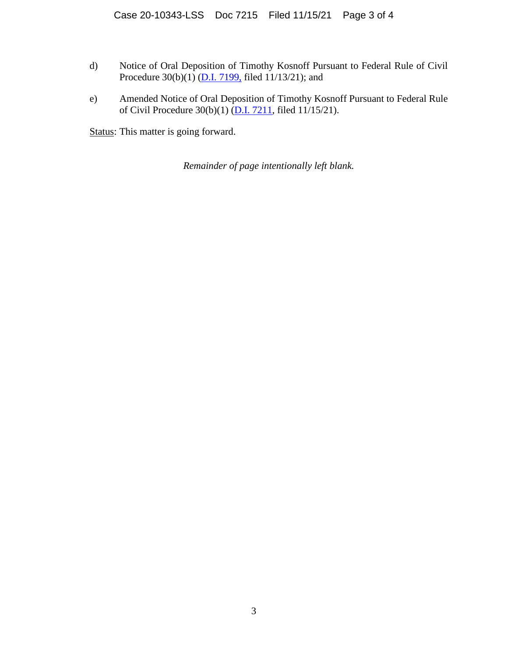- d) Notice of Oral Deposition of Timothy Kosnoff Pursuant to Federal Rule of Civil Procedure  $30(b)(1)$  [\(D.I. 7199,](https://ecf.deb.uscourts.gov/doc1/042020129544) filed 11/13/21); and
- e) Amended Notice of Oral Deposition of Timothy Kosnoff Pursuant to Federal Rule of Civil Procedure 30(b)(1) [\(D.I. 7211,](https://ecf.deb.uscourts.gov/doc1/042020130140) filed 11/15/21).

Status: This matter is going forward.

*Remainder of page intentionally left blank.*